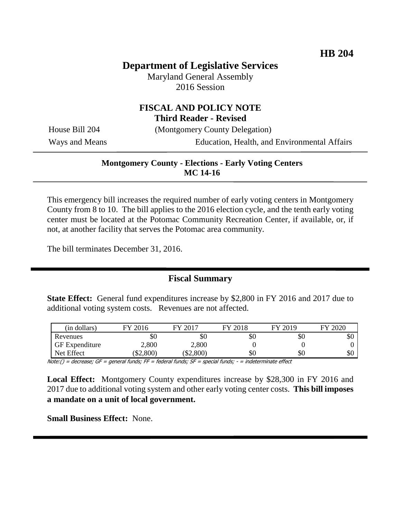# **Department of Legislative Services**

Maryland General Assembly 2016 Session

# **FISCAL AND POLICY NOTE Third Reader - Revised**

House Bill 204 (Montgomery County Delegation)

Ways and Means Education, Health, and Environmental Affairs

### **Montgomery County - Elections - Early Voting Centers MC 14-16**

This emergency bill increases the required number of early voting centers in Montgomery County from 8 to 10. The bill applies to the 2016 election cycle, and the tenth early voting center must be located at the Potomac Community Recreation Center, if available, or, if not, at another facility that serves the Potomac area community.

The bill terminates December 31, 2016.

## **Fiscal Summary**

**State Effect:** General fund expenditures increase by \$2,800 in FY 2016 and 2017 due to additional voting system costs. Revenues are not affected.

| (in dollars)          | FY 2016      | 12017<br>FУ | FY 2018 | FY 2019 | FY 2020 |
|-----------------------|--------------|-------------|---------|---------|---------|
| Revenues              | \$0          | \$0         | \$0     | \$0     | эU      |
| <b>GF</b> Expenditure | $\angle,800$ | 2,800       |         |         |         |
| Net Effect            | \$2,800      | \$2,800     | \$0     | \$0     | \$0     |

 $Note: ( ) = decrease; GF = general funds; FF = federal funds; SF = special funds; -- in determine the effect$ 

**Local Effect:** Montgomery County expenditures increase by \$28,300 in FY 2016 and 2017 due to additional voting system and other early voting center costs. **This bill imposes a mandate on a unit of local government.**

**Small Business Effect:** None.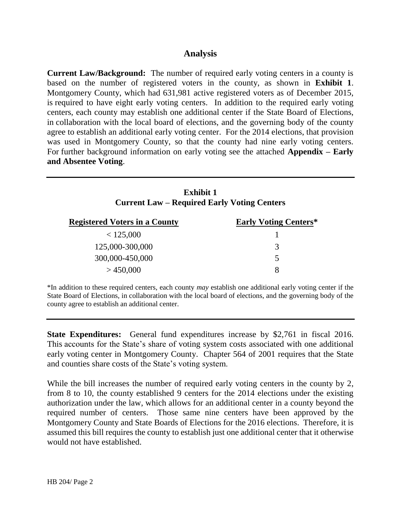# **Analysis**

**Current Law/Background:** The number of required early voting centers in a county is based on the number of registered voters in the county, as shown in **Exhibit 1**. Montgomery County, which had 631,981 active registered voters as of December 2015, is required to have eight early voting centers. In addition to the required early voting centers, each county may establish one additional center if the State Board of Elections, in collaboration with the local board of elections, and the governing body of the county agree to establish an additional early voting center. For the 2014 elections, that provision was used in Montgomery County, so that the county had nine early voting centers. For further background information on early voting see the attached **Appendix – Early and Absentee Voting**.

| <b>Exhibit 1</b><br><b>Current Law – Required Early Voting Centers</b> |                              |  |  |  |
|------------------------------------------------------------------------|------------------------------|--|--|--|
| <b>Registered Voters in a County</b>                                   | <b>Early Voting Centers*</b> |  |  |  |
| < 125,000                                                              |                              |  |  |  |
| 125,000-300,000                                                        | 3                            |  |  |  |
| 300,000-450,000                                                        | 5                            |  |  |  |
| >450,000                                                               | 8                            |  |  |  |

\*In addition to these required centers, each county *may* establish one additional early voting center if the State Board of Elections, in collaboration with the local board of elections, and the governing body of the county agree to establish an additional center.

**State Expenditures:** General fund expenditures increase by \$2,761 in fiscal 2016. This accounts for the State's share of voting system costs associated with one additional early voting center in Montgomery County. Chapter 564 of 2001 requires that the State and counties share costs of the State's voting system.

While the bill increases the number of required early voting centers in the county by 2, from 8 to 10, the county established 9 centers for the 2014 elections under the existing authorization under the law, which allows for an additional center in a county beyond the required number of centers. Those same nine centers have been approved by the Montgomery County and State Boards of Elections for the 2016 elections. Therefore, it is assumed this bill requires the county to establish just one additional center that it otherwise would not have established.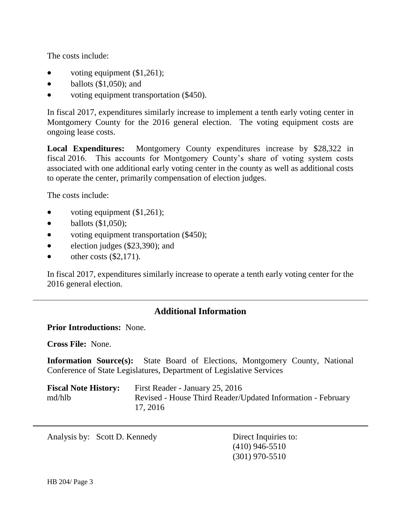The costs include:

- voting equipment  $(\$1,261)$ ;
- $\bullet$  ballots (\$1,050); and
- voting equipment transportation (\$450).

In fiscal 2017, expenditures similarly increase to implement a tenth early voting center in Montgomery County for the 2016 general election. The voting equipment costs are ongoing lease costs.

**Local Expenditures:** Montgomery County expenditures increase by \$28,322 in fiscal 2016. This accounts for Montgomery County's share of voting system costs associated with one additional early voting center in the county as well as additional costs to operate the center, primarily compensation of election judges.

The costs include:

- voting equipment  $(\$1,261)$ ;
- $\bullet$  ballots  $(\$1,050)$ ;
- voting equipment transportation (\$450);
- election judges  $(\$23,390)$ ; and
- $\bullet$  other costs (\$2,171).

In fiscal 2017, expenditures similarly increase to operate a tenth early voting center for the 2016 general election.

# **Additional Information**

### **Prior Introductions:** None.

**Cross File:** None.

**Information Source(s):** State Board of Elections, Montgomery County, National Conference of State Legislatures, Department of Legislative Services

| <b>Fiscal Note History:</b> | First Reader - January 25, 2016                             |
|-----------------------------|-------------------------------------------------------------|
| md/hlb                      | Revised - House Third Reader/Updated Information - February |
|                             | 17, 2016                                                    |

Analysis by: Scott D. Kennedy Direct Inquiries to:

(410) 946-5510 (301) 970-5510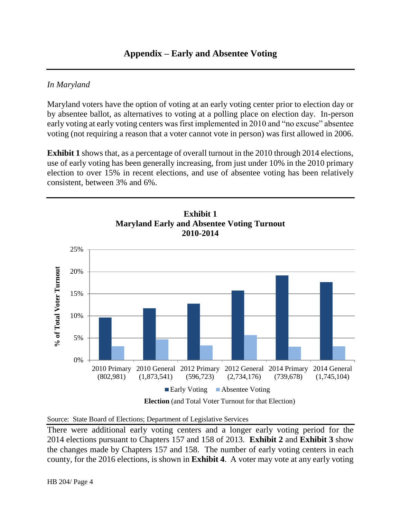# *In Maryland*

Maryland voters have the option of voting at an early voting center prior to election day or by absentee ballot, as alternatives to voting at a polling place on election day. In-person early voting at early voting centers was first implemented in 2010 and "no excuse" absentee voting (not requiring a reason that a voter cannot vote in person) was first allowed in 2006.

**Exhibit 1** shows that, as a percentage of overall turnout in the 2010 through 2014 elections, use of early voting has been generally increasing, from just under 10% in the 2010 primary election to over 15% in recent elections, and use of absentee voting has been relatively consistent, between 3% and 6%.



There were additional early voting centers and a longer early voting period for the 2014 elections pursuant to Chapters 157 and 158 of 2013. **Exhibit 2** and **Exhibit 3** show the changes made by Chapters 157 and 158. The number of early voting centers in each county, for the 2016 elections, is shown in **Exhibit 4**. A voter may vote at any early voting

# HB 204/ Page 4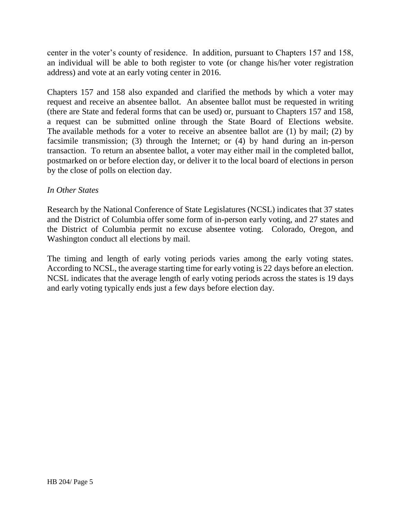center in the voter's county of residence. In addition, pursuant to Chapters 157 and 158, an individual will be able to both register to vote (or change his/her voter registration address) and vote at an early voting center in 2016.

Chapters 157 and 158 also expanded and clarified the methods by which a voter may request and receive an absentee ballot. An absentee ballot must be requested in writing (there are State and federal forms that can be used) or, pursuant to Chapters 157 and 158, a request can be submitted online through the State Board of Elections website. The available methods for a voter to receive an absentee ballot are (1) by mail; (2) by facsimile transmission; (3) through the Internet; or (4) by hand during an in-person transaction. To return an absentee ballot, a voter may either mail in the completed ballot, postmarked on or before election day, or deliver it to the local board of elections in person by the close of polls on election day.

### *In Other States*

Research by the National Conference of State Legislatures (NCSL) indicates that 37 states and the District of Columbia offer some form of in-person early voting, and 27 states and the District of Columbia permit no excuse absentee voting. Colorado, Oregon, and Washington conduct all elections by mail.

The timing and length of early voting periods varies among the early voting states. According to NCSL, the average starting time for early voting is 22 days before an election. NCSL indicates that the average length of early voting periods across the states is 19 days and early voting typically ends just a few days before election day.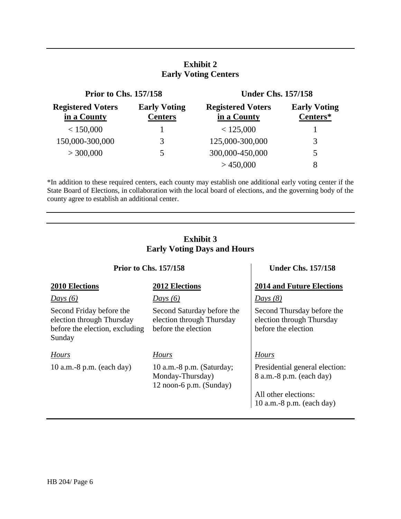# **Exhibit 2 Early Voting Centers**

| <b>Prior to Chs. 157/158</b>            |                                       | <b>Under Chs. 157/158</b>               |                                 |  |
|-----------------------------------------|---------------------------------------|-----------------------------------------|---------------------------------|--|
| <b>Registered Voters</b><br>in a County | <b>Early Voting</b><br><b>Centers</b> | <b>Registered Voters</b><br>in a County | <b>Early Voting</b><br>Centers* |  |
| < 150,000                               |                                       | < 125,000                               |                                 |  |
| 150,000-300,000                         | 3                                     | 125,000-300,000                         | 3                               |  |
| > 300,000                               | 5                                     | 300,000-450,000                         | 5                               |  |
|                                         |                                       | >450,000                                | 8                               |  |

\*In addition to these required centers, each county may establish one additional early voting center if the State Board of Elections, in collaboration with the local board of elections, and the governing body of the county agree to establish an additional center.

### **Exhibit 3 Early Voting Days and Hours**

### **Prior to Chs. 157/158 Under Chs. 157/158**

### *Days (6) Days (6) Days (8)*

Second Friday before the election through Thursday before the election, excluding

Sunday

10 a.m.-8 p.m. (each day) 10 a.m.-8 p.m. (Saturday;

Second Saturday before the election through Thursday before the election

### *Hours Hours Hours*

Monday-Thursday) 12 noon-6 p.m. (Sunday)

# **2010 Elections 2012 Elections 2014 and Future Elections**

Second Thursday before the election through Thursday before the election

Presidential general election: 8 a.m.-8 p.m. (each day)

All other elections: 10 a.m.-8 p.m. (each day)